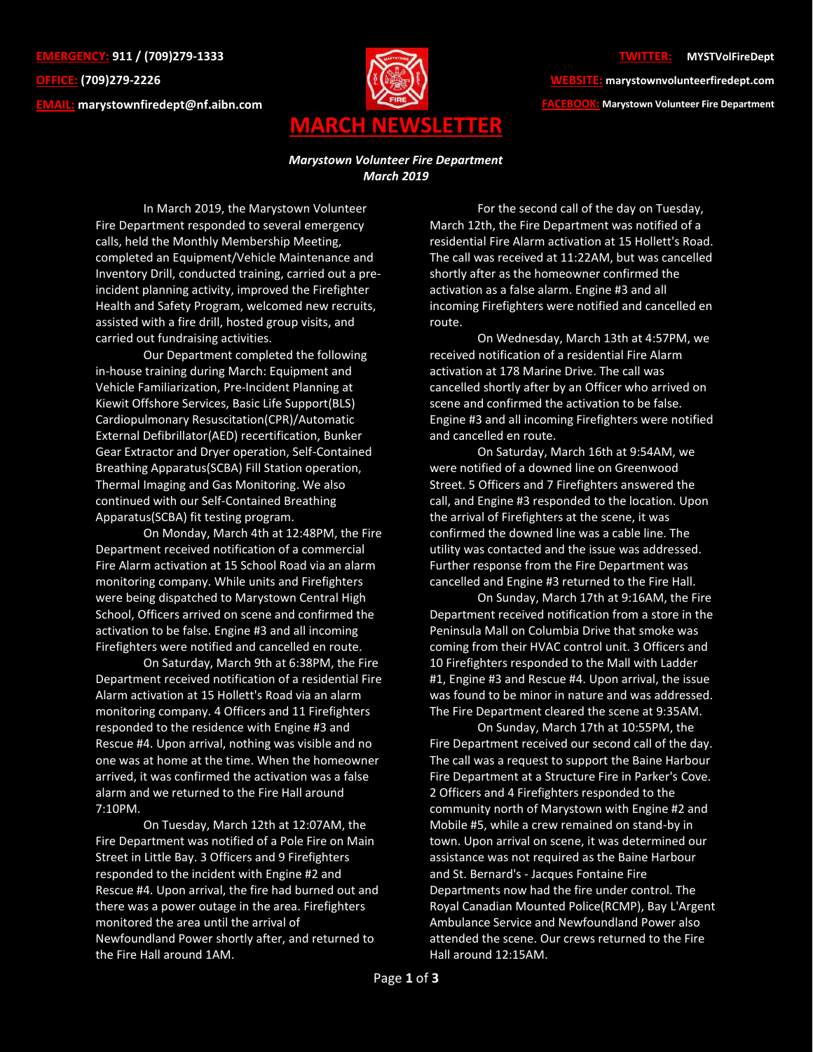**EMERGENCY: 911 / (709)279-1333 OFFICE: (709)279-2226 EMAIL: [marystownfiredept@nf.aibn.com](mailto:marystownfiredept@nf.aibn.com)**



## **TWITTER: @MYSTVolFireDept**

**WEBSITE: marystownvolunteerfiredept.com FACEBOOK: Marystown Volunteer Fire Department**

## *Marystown Volunteer Fire Department March 2019*

In March 2019, the Marystown Volunteer Fire Department responded to several emergency calls, held the Monthly Membership Meeting, completed an Equipment/Vehicle Maintenance and Inventory Drill, conducted training, carried out a preincident planning activity, improved the Firefighter Health and Safety Program, welcomed new recruits, assisted with a fire drill, hosted group visits, and carried out fundraising activities.

Our Department completed the following in-house training during March: Equipment and Vehicle Familiarization, Pre-Incident Planning at Kiewit Offshore Services, Basic Life Support(BLS) Cardiopulmonary Resuscitation(CPR)/Automatic External Defibrillator(AED) recertification, Bunker Gear Extractor and Dryer operation, Self-Contained Breathing Apparatus(SCBA) Fill Station operation, Thermal Imaging and Gas Monitoring. We also continued with our Self-Contained Breathing Apparatus(SCBA) fit testing program.

On Monday, March 4th at 12:48PM, the Fire Department received notification of a commercial Fire Alarm activation at 15 School Road via an alarm monitoring company. While units and Firefighters were being dispatched to Marystown Central High School, Officers arrived on scene and confirmed the activation to be false. Engine #3 and all incoming Firefighters were notified and cancelled en route.

On Saturday, March 9th at 6:38PM, the Fire Department received notification of a residential Fire Alarm activation at 15 Hollett's Road via an alarm monitoring company. 4 Officers and 11 Firefighters responded to the residence with Engine #3 and Rescue #4. Upon arrival, nothing was visible and no one was at home at the time. When the homeowner arrived, it was confirmed the activation was a false alarm and we returned to the Fire Hall around 7:10PM.

On Tuesday, March 12th at 12:07AM, the Fire Department was notified of a Pole Fire on Main Street in Little Bay. 3 Officers and 9 Firefighters responded to the incident with Engine #2 and Rescue #4. Upon arrival, the fire had burned out and there was a power outage in the area. Firefighters monitored the area until the arrival of Newfoundland Power shortly after, and returned to the Fire Hall around 1AM.

For the second call of the day on Tuesday, March 12th, the Fire Department was notified of a residential Fire Alarm activation at 15 Hollett's Road. The call was received at 11:22AM, but was cancelled shortly after as the homeowner confirmed the activation as a false alarm. Engine #3 and all incoming Firefighters were notified and cancelled en route.

On Wednesday, March 13th at 4:57PM, we received notification of a residential Fire Alarm activation at 178 Marine Drive. The call was cancelled shortly after by an Officer who arrived on scene and confirmed the activation to be false. Engine #3 and all incoming Firefighters were notified and cancelled en route.

On Saturday, March 16th at 9:54AM, we were notified of a downed line on Greenwood Street. 5 Officers and 7 Firefighters answered the call, and Engine #3 responded to the location. Upon the arrival of Firefighters at the scene, it was confirmed the downed line was a cable line. The utility was contacted and the issue was addressed. Further response from the Fire Department was cancelled and Engine #3 returned to the Fire Hall.

On Sunday, March 17th at 9:16AM, the Fire Department received notification from a store in the Peninsula Mall on Columbia Drive that smoke was coming from their HVAC control unit. 3 Officers and 10 Firefighters responded to the Mall with Ladder #1, Engine #3 and Rescue #4. Upon arrival, the issue was found to be minor in nature and was addressed. The Fire Department cleared the scene at 9:35AM.

On Sunday, March 17th at 10:55PM, the Fire Department received our second call of the day. The call was a request to support the Baine Harbour Fire Department at a Structure Fire in Parker's Cove. 2 Officers and 4 Firefighters responded to the community north of Marystown with Engine #2 and Mobile #5, while a crew remained on stand-by in town. Upon arrival on scene, it was determined our assistance was not required as the Baine Harbour and St. Bernard's - Jacques Fontaine Fire Departments now had the fire under control. The Royal Canadian Mounted Police(RCMP), Bay L'Argent Ambulance Service and Newfoundland Power also attended the scene. Our crews returned to the Fire Hall around 12:15AM.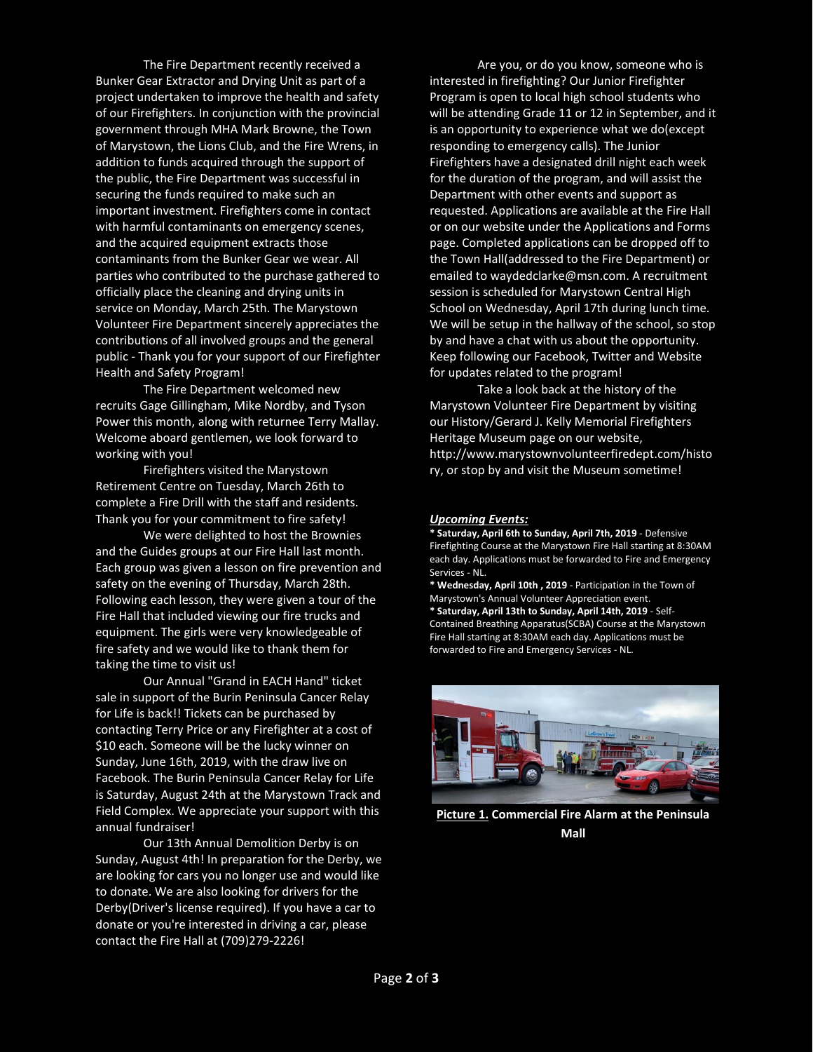The Fire Department recently received a Bunker Gear Extractor and Drying Unit as part of a project undertaken to improve the health and safety of our Firefighters. In conjunction with the provincial government through MHA Mark Browne, the Town of Marystown, the Lions Club, and the Fire Wrens, in addition to funds acquired through the support of the public, the Fire Department was successful in securing the funds required to make such an important investment. Firefighters come in contact with harmful contaminants on emergency scenes, and the acquired equipment extracts those contaminants from the Bunker Gear we wear. All parties who contributed to the purchase gathered to officially place the cleaning and drying units in service on Monday, March 25th. The Marystown Volunteer Fire Department sincerely appreciates the contributions of all involved groups and the general public - Thank you for your support of our Firefighter Health and Safety Program!

The Fire Department welcomed new recruits Gage Gillingham, Mike Nordby, and Tyson Power this month, along with returnee Terry Mallay. Welcome aboard gentlemen, we look forward to working with you!

Firefighters visited the Marystown Retirement Centre on Tuesday, March 26th to complete a Fire Drill with the staff and residents. Thank you for your commitment to fire safety!

We were delighted to host the Brownies and the Guides groups at our Fire Hall last month. Each group was given a lesson on fire prevention and safety on the evening of Thursday, March 28th. Following each lesson, they were given a tour of the Fire Hall that included viewing our fire trucks and equipment. The girls were very knowledgeable of fire safety and we would like to thank them for taking the time to visit us!

Our Annual "Grand in EACH Hand" ticket sale in support of the Burin Peninsula Cancer Relay for Life is back!! Tickets can be purchased by contacting Terry Price or any Firefighter at a cost of \$10 each. Someone will be the lucky winner on Sunday, June 16th, 2019, with the draw live on Facebook. The Burin Peninsula Cancer Relay for Life is Saturday, August 24th at the Marystown Track and Field Complex. We appreciate your support with this annual fundraiser!

Our 13th Annual Demolition Derby is on Sunday, August 4th! In preparation for the Derby, we are looking for cars you no longer use and would like to donate. We are also looking for drivers for the Derby(Driver's license required). If you have a car to donate or you're interested in driving a car, please contact the Fire Hall at (709)279-2226!

Are you, or do you know, someone who is interested in firefighting? Our Junior Firefighter Program is open to local high school students who will be attending Grade 11 or 12 in September, and it is an opportunity to experience what we do(except responding to emergency calls). The Junior Firefighters have a designated drill night each week for the duration of the program, and will assist the Department with other events and support as requested. Applications are available at the Fire Hall or on our website under the Applications and Forms page. Completed applications can be dropped off to the Town Hall(addressed to the Fire Department) or emailed to waydedclarke@msn.com. A recruitment session is scheduled for Marystown Central High School on Wednesday, April 17th during lunch time. We will be setup in the hallway of the school, so stop by and have a chat with us about the opportunity. Keep following our Facebook, Twitter and Website for updates related to the program!

Take a look back at the history of the Marystown Volunteer Fire Department by visiting our History/Gerard J. Kelly Memorial Firefighters Heritage Museum page on our website, [http://www.marystownvolunteerfiredept.com/histo](http://www.marystownvolunteerfiredept.com/history) [ry,](http://www.marystownvolunteerfiredept.com/history) or stop by and visit the Museum sometime!

## *Upcoming Events:*

**\* Saturday, April 6th to Sunday, April 7th, 2019** - Defensive Firefighting Course at the Marystown Fire Hall starting at 8:30AM each day. Applications must be forwarded to Fire and Emergency Services - NL.

**\* Wednesday, April 10th , 2019** - Participation in the Town of Marystown's Annual Volunteer Appreciation event. **\* Saturday, April 13th to Sunday, April 14th, 2019** - Self-Contained Breathing Apparatus(SCBA) Course at the Marystown Fire Hall starting at 8:30AM each day. Applications must be forwarded to Fire and Emergency Services - NL.



**Picture 1. Commercial Fire Alarm at the Peninsula Mall**